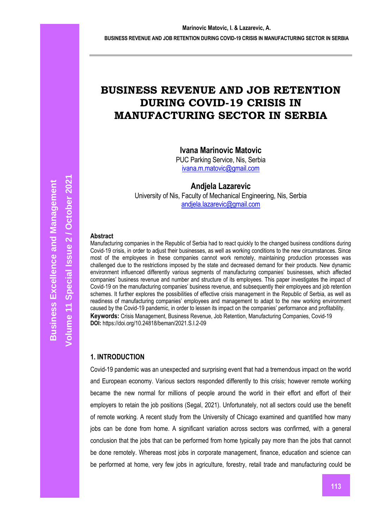# **BUSINESS REVENUE AND JOB RETENTION DURING COVID-19 CRISIS IN MANUFACTURING SECTOR IN SERBIA**

# **Ivana Marinovic Matovic**

PUC Parking Service, Nis, Serbia [ivana.m.matovic@gmail.com](mailto:ivana.m.matovic@gmail.com)

**Andjela Lazarevic**

University of Nis, Faculty of Mechanical Engineering, Nis, Serbia [andjela.lazarevic@gmail.com](mailto:andjela.lazarevic@gmail.com)

## **Abstract**

Manufacturing companies in the Republic of Serbia had to react quickly to the changed business conditions during Covid-19 crisis, in order to adjust their businesses, as well as working conditions to the new circumstances. Since most of the employees in these companies cannot work remotely, maintaining production processes was challenged due to the restrictions imposed by the state and decreased demand for their products. New dynamic environment influenced differently various segments of manufacturing companies' businesses, which affected companies' business revenue and number and structure of its employees. This paper investigates the impact of Covid-19 on the manufacturing companies' business revenue, and subsequently their employees and job retention schemes. It further explores the possibilities of effective crisis management in the Republic of Serbia, as well as readiness of manufacturing companies' employees and management to adapt to the new working environment caused by the Covid-19 pandemic, in order to lessen its impact on the companies' performance and profitability. **Keywords:** Crisis Management, Business Revenue, Job Retention, Manufacturing Companies, Covid-19 **DOI:** https://doi.org/10.24818/beman/2021.S.I.2-09

# **1. INTRODUCTION**

Covid-19 pandemic was an unexpected and surprising event that had a tremendous impact on the world and European economy. Various sectors responded differently to this crisis; however remote working became the new normal for millions of people around the world in their effort and effort of their employers to retain the job positions (Segal, 2021). Unfortunately, not all sectors could use the benefit of remote working. A recent study from the University of Chicago examined and quantified how many jobs can be done from home. A significant variation across sectors was confirmed, with a general conclusion that the jobs that can be performed from home typically pay more than the jobs that cannot be done remotely. Whereas most jobs in corporate management, finance, education and science can be performed at home, very few jobs in agriculture, forestry, retail trade and manufacturing could be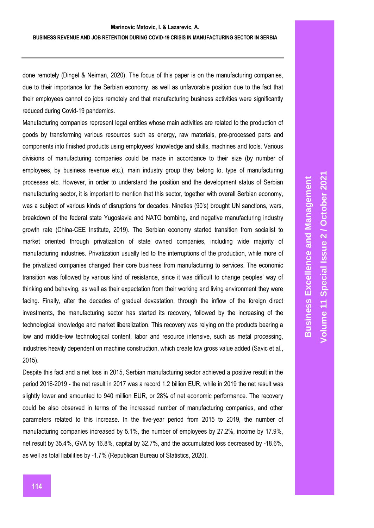done remotely (Dingel & Neiman, 2020). The focus of this paper is on the manufacturing companies, due to their importance for the Serbian economy, as well as unfavorable position due to the fact that their employees cannot do jobs remotely and that manufacturing business activities were significantly reduced during Covid-19 pandemics.

Manufacturing companies represent legal entities whose main activities are related to the production of goods by transforming various resources such as energy, raw materials, pre-processed parts and components into finished products using employees' knowledge and skills, machines and tools. Various divisions of manufacturing companies could be made in accordance to their size (by number of employees, by business revenue etc.), main industry group they belong to, type of manufacturing processes etc. However, in order to understand the position and the development status of Serbian manufacturing sector, it is important to mention that this sector, together with overall Serbian economy, was a subject of various kinds of disruptions for decades. Nineties (90's) brought UN sanctions, wars, breakdown of the federal state Yugoslavia and NATO bombing, and negative manufacturing industry growth rate (China-CEE Institute, 2019). The Serbian economy started transition from socialist to market oriented through privatization of state owned companies, including wide majority of manufacturing industries. Privatization usually led to the interruptions of the production, while more of the privatized companies changed their core business from manufacturing to services. The economic transition was followed by various kind of resistance, since it was difficult to change peoples' way of thinking and behaving, as well as their expectation from their working and living environment they were facing. Finally, after the decades of gradual devastation, through the inflow of the foreign direct investments, the manufacturing sector has started its recovery, followed by the increasing of the technological knowledge and market liberalization. This recovery was relying on the products bearing a low and middle-low technological content, labor and resource intensive, such as metal processing, industries heavily dependent on machine construction, which create low gross value added (Savic et al., 2015).

Despite this fact and a net loss in 2015, Serbian manufacturing sector achieved a positive result in the period 2016-2019 - the net result in 2017 was a record 1.2 billion EUR, while in 2019 the net result was slightly lower and amounted to 940 million EUR, or 28% of net economic performance. The recovery could be also observed in terms of the increased number of manufacturing companies, and other parameters related to this increase. In the five-year period from 2015 to 2019, the number of manufacturing companies increased by 5.1%, the number of employees by 27.2%, income by 17.9%, net result by 35.4%, GVA by 16.8%, capital by 32.7%, and the accumulated loss decreased by -18.6%, as well as total liabilities by -1.7% (Republican Bureau of Statistics, 2020).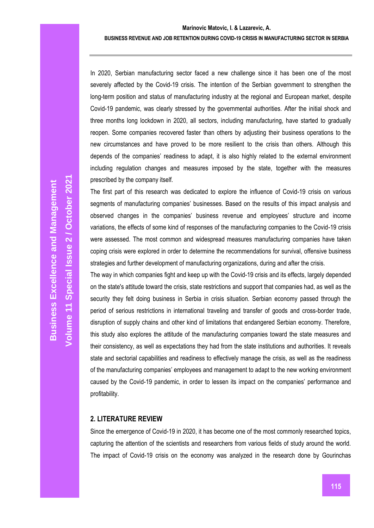## **BUSINESS REVENUE AND JOB RETENTION DURING COVID-19 CRISIS IN MANUFACTURING SECTOR IN SERBIA**

In 2020, Serbian manufacturing sector faced a new challenge since it has been one of the most severely affected by the Covid-19 crisis. The intention of the Serbian government to strengthen the long-term position and status of manufacturing industry at the regional and European market, despite Covid-19 pandemic, was clearly stressed by the governmental authorities. After the initial shock and three months long lockdown in 2020, all sectors, including manufacturing, have started to gradually reopen. Some companies recovered faster than others by adjusting their business operations to the new circumstances and have proved to be more resilient to the crisis than others. Although this depends of the companies' readiness to adapt, it is also highly related to the external environment including regulation changes and measures imposed by the state, together with the measures prescribed by the company itself.

The first part of this research was dedicated to explore the influence of Covid-19 crisis on various segments of manufacturing companies' businesses. Based on the results of this impact analysis and observed changes in the companies' business revenue and employees' structure and income variations, the effects of some kind of responses of the manufacturing companies to the Covid-19 crisis were assessed. The most common and widespread measures manufacturing companies have taken coping crisis were explored in order to determine the recommendations for survival, offensive business strategies and further development of manufacturing organizations, during and after the crisis.

The way in which companies fight and keep up with the Covid-19 crisis and its effects, largely depended on the state's attitude toward the crisis, state restrictions and support that companies had, as well as the security they felt doing business in Serbia in crisis situation. Serbian economy passed through the period of serious restrictions in international traveling and transfer of goods and cross-border trade, disruption of supply chains and other kind of limitations that endangered Serbian economy. Therefore, this study also explores the attitude of the manufacturing companies toward the state measures and their consistency, as well as expectations they had from the state institutions and authorities. It reveals state and sectorial capabilities and readiness to effectively manage the crisis, as well as the readiness of the manufacturing companies' employees and management to adapt to the new working environment caused by the Covid-19 pandemic, in order to lessen its impact on the companies' performance and profitability.

# **2. LITERATURE REVIEW**

Since the emergence of Covid-19 in 2020, it has become one of the most commonly researched topics, capturing the attention of the scientists and researchers from various fields of study around the world. The impact of Covid-19 crisis on the economy was analyzed in the research done by Gourinchas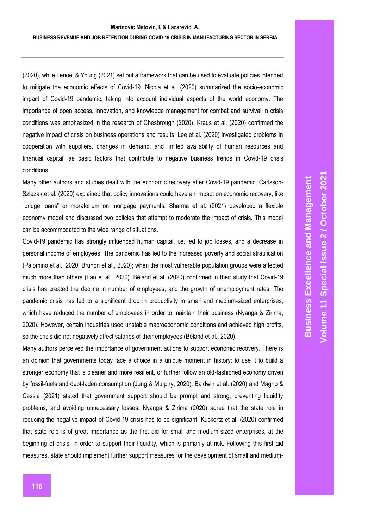(2020), while Lenoël & Young (2021) set out a framework that can be used to evaluate policies intended to mitigate the economic effects of Covid-19. Nicola et al. (2020) summarized the socio-economic impact of Covid-19 pandemic, taking into account individual aspects of the world economy. The importance of open access, innovation, and knowledge management for combat and survival in crisis conditions was emphasized in the research of Chesbrough (2020). Kraus et al. (2020) confirmed the negative impact of crisis on business operations and results. Lee et al. (2020) investigated problems in cooperation with suppliers, changes in demand, and limited availability of human resources and financial capital, as basic factors that contribute to negative business trends in Covid-19 crisis conditions.

Many other authors and studies dealt with the economic recovery after Covid-19 pandemic. Carlsson-Szlezak et al. (2020) explained that policy innovations could have an impact on economic recovery, like "bridge loans" or moratorium on mortgage payments. Sharma et al. (2021) developed a flexible economy model and discussed two policies that attempt to moderate the impact of crisis. This model can be accommodated to the wide range of situations.

Covid-19 pandemic has strongly influenced human capital, i.e. led to job losses, and a decrease in personal income of employees. The pandemic has led to the increased poverty and social stratification (Palomino et al., 2020; Brunori et al., 2020); when the most vulnerable population groups were affected much more than others (Fan et al., 2020). Béland et al. (2020) confirmed in their study that Covid-19 crisis has created the decline in number of employees, and the growth of unemployment rates. The pandemic crisis has led to a significant drop in productivity in small and medium-sized enterprises, which have reduced the number of employees in order to maintain their business (Nyanga & Zirima, 2020). However, certain industries used unstable macroeconomic conditions and achieved high profits, so the crisis did not negatively affect salaries of their employees (Béland et al., 2020).

Many authors perceived the importance of government actions to support economic recovery. There is an opinion that governments today face a choice in a unique moment in history: to use it to build a stronger economy that is cleaner and more resilient, or further follow an old-fashioned economy driven by fossil-fuels and debt-laden consumption (Jung & Murphy, 2020). Baldwin et al. (2020) and Magno & Cassia (2021) stated that government support should be prompt and strong, preventing liquidity problems, and avoiding unnecessary losses. Nyanga & Zirima (2020) agree that the state role in reducing the negative impact of Covid-19 crisis has to be significant. Kuckertz et al. (2020) confirmed that state role is of great importance as the first aid for small and medium-sized enterprises, at the beginning of crisis, in order to support their liquidity, which is primarily at risk. Following this first aid measures, state should implement further support measures for the development of small and medium-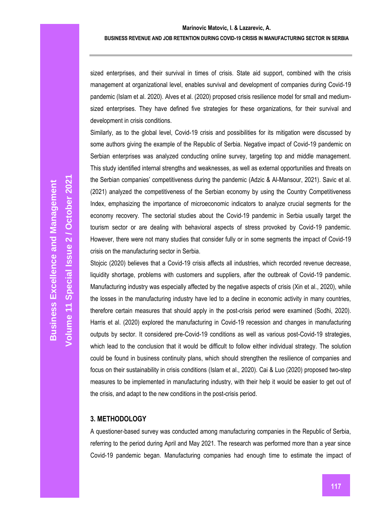sized enterprises, and their survival in times of crisis. State aid support, combined with the crisis management at organizational level, enables survival and development of companies during Covid-19 pandemic (Islam et al. 2020). Alves et al. (2020) proposed crisis resilience model for small and mediumsized enterprises. They have defined five strategies for these organizations, for their survival and development in crisis conditions.

Similarly, as to the global level, Covid-19 crisis and possibilities for its mitigation were discussed by some authors giving the example of the Republic of Serbia. Negative impact of Covid-19 pandemic on Serbian enterprises was analyzed conducting online survey, targeting top and middle management. This study identified internal strengths and weaknesses, as well as external opportunities and threats on the Serbian companies' competitiveness during the pandemic (Adzic & Al-Mansour, 2021). Savic et al. (2021) analyzed the competitiveness of the Serbian economy by using the Country Competitiveness Index, emphasizing the importance of microeconomic indicators to analyze crucial segments for the economy recovery. The sectorial studies about the Covid-19 pandemic in Serbia usually target the tourism sector or are dealing with behavioral aspects of stress provoked by Covid-19 pandemic. However, there were not many studies that consider fully or in some segments the impact of Covid-19 crisis on the manufacturing sector in Serbia.

Stojcic (2020) believes that a Covid-19 crisis affects all industries, which recorded revenue decrease, liquidity shortage, problems with customers and suppliers, after the outbreak of Covid-19 pandemic. Manufacturing industry was especially affected by the negative aspects of crisis (Xin et al., 2020), while the losses in the manufacturing industry have led to a decline in economic activity in many countries, therefore certain measures that should apply in the post-crisis period were examined (Sodhi, 2020). Harris et al. (2020) explored the manufacturing in Covid-19 recession and changes in manufacturing outputs by sector. It considered pre-Covid-19 conditions as well as various post-Covid-19 strategies, which lead to the conclusion that it would be difficult to follow either individual strategy. The solution could be found in business continuity plans, which should strengthen the resilience of companies and focus on their sustainability in crisis conditions (Islam et al., 2020). Cai & Luo (2020) proposed two-step measures to be implemented in manufacturing industry, with their help it would be easier to get out of the crisis, and adapt to the new conditions in the post-crisis period.

# **3. METHODOLOGY**

A questioner-based survey was conducted among manufacturing companies in the Republic of Serbia, referring to the period during April and May 2021. The research was performed more than a year since Covid-19 pandemic began. Manufacturing companies had enough time to estimate the impact of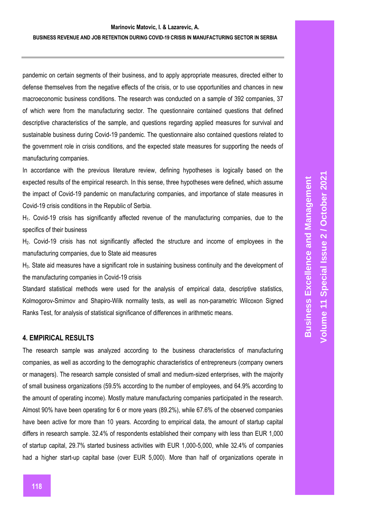#### **BUSINESS REVENUE AND JOB RETENTION DURING COVID-19 CRISIS IN MANUFACTURING SECTOR IN SERBIA**

pandemic on certain segments of their business, and to apply appropriate measures, directed either to defense themselves from the negative effects of the crisis, or to use opportunities and chances in new macroeconomic business conditions. The research was conducted on a sample of 392 companies, 37 of which were from the manufacturing sector. The questionnaire contained questions that defined descriptive characteristics of the sample, and questions regarding applied measures for survival and sustainable business during Covid-19 pandemic. The questionnaire also contained questions related to the government role in crisis conditions, and the expected state measures for supporting the needs of manufacturing companies.

In accordance with the previous literature review, defining hypotheses is logically based on the expected results of the empirical research. In this sense, three hypotheses were defined, which assume the impact of Covid-19 pandemic on manufacturing companies, and importance of state measures in Covid-19 crisis conditions in the Republic of Serbia.

H1. Covid-19 crisis has significantly affected revenue of the manufacturing companies, due to the specifics of their business

H2. Covid-19 crisis has not significantly affected the structure and income of employees in the manufacturing companies, due to State aid measures

H<sub>3</sub>. State aid measures have a significant role in sustaining business continuity and the development of the manufacturing companies in Covid-19 crisis

Standard statistical methods were used for the analysis of empirical data, descriptive statistics, Kolmogorov-Smirnov and Shapiro-Wilk normality tests, as well as non-parametric Wilcoxon Signed Ranks Test, for analysis of statistical significance of differences in arithmetic means.

#### **4. EMPIRICAL RESULTS**

The research sample was analyzed according to the business characteristics of manufacturing companies, as well as according to the demographic characteristics of entrepreneurs (company owners or managers). The research sample consisted of small and medium-sized enterprises, with the majority of small business organizations (59.5% according to the number of employees, and 64.9% according to the amount of operating income). Mostly mature manufacturing companies participated in the research. Almost 90% have been operating for 6 or more years (89.2%), while 67.6% of the observed companies have been active for more than 10 years. According to empirical data, the amount of startup capital differs in research sample. 32.4% of respondents established their company with less than EUR 1,000 of startup capital, 29.7% started business activities with EUR 1,000-5,000, while 32.4% of companies had a higher start-up capital base (over EUR 5,000). More than half of organizations operate in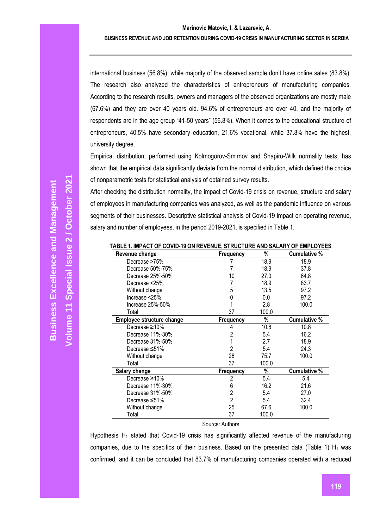#### **BUSINESS REVENUE AND JOB RETENTION DURING COVID-19 CRISIS IN MANUFACTURING SECTOR IN SERBIA**

international business (56.8%), while majority of the observed sample don't have online sales (83.8%). The research also analyzed the characteristics of entrepreneurs of manufacturing companies. According to the research results, owners and managers of the observed organizations are mostly male (67.6%) and they are over 40 years old. 94.6% of entrepreneurs are over 40, and the majority of respondents are in the age group "41-50 years" (56.8%). When it comes to the educational structure of entrepreneurs, 40.5% have secondary education, 21.6% vocational, while 37.8% have the highest, university degree.

Empirical distribution, performed using Kolmogorov-Smirnov and Shapiro-Wilk normality tests, has shown that the empirical data significantly deviate from the normal distribution, which defined the choice of nonparametric tests for statistical analysis of obtained survey results.

After checking the distribution normality, the impact of Covid-19 crisis on revenue, structure and salary of employees in manufacturing companies was analyzed, as well as the pandemic influence on various segments of their businesses. Descriptive statistical analysis of Covid-19 impact on operating revenue, salary and number of employees, in the period 2019-2021, is specified in Table 1.

| Revenue change            | Frequency        | %     | <b>Cumulative %</b> |
|---------------------------|------------------|-------|---------------------|
| Decrease >75%             |                  | 18.9  | 18.9                |
| Decrease 50%-75%          |                  | 18.9  | 37.8                |
| Decrease 25%-50%          | 10               | 27.0  | 64.8                |
| Decrease <25%             |                  | 18.9  | 83.7                |
| Without change            | 5                | 13.5  | 97.2                |
| Increase $<$ 25%          |                  | 0.0   | 97.2                |
| Increase 25%-50%          |                  | 2.8   | 100.0               |
| Total                     | 37               | 100.0 |                     |
| Employee structure change | <b>Frequency</b> | %     | <b>Cumulative %</b> |
| Decrease $\geq 10\%$      | 4                | 10.8  | 10.8                |
| Decrease 11%-30%          | 2                | 5.4   | 16.2                |
| Decrease 31%-50%          |                  | 2.7   | 18.9                |
| Decrease ≤51%             | 2                | 5.4   | 24.3                |
| Without change            | 28               | 75.7  | 100.0               |
| Total                     | 37               | 100.0 |                     |
| Salary change             | <b>Frequency</b> | %     | <b>Cumulative %</b> |
| Decrease $\geq 10\%$      | 2                | 5.4   | 5.4                 |
| Decrease 11%-30%          | 6                | 16.2  | 21.6                |
| Decrease 31%-50%          | 2                | 5.4   | 27.0                |
| Decrease ≤51%             | 2                | 5.4   | 32.4                |
| Without change            | 25               | 67.6  | 100.0               |
| Total                     | 37               | 100.0 |                     |

**TABLE 1. IMPACT OF COVID-19 ON REVENUE, STRUCTURE AND SALARY OF EMPLOYEES**

#### Source: Authors

Hypothesis  $H_1$  stated that Covid-19 crisis has significantly affected revenue of the manufacturing companies, due to the specifics of their business. Based on the presented data (Table 1)  $H_1$  was confirmed, and it can be concluded that 83.7% of manufacturing companies operated with a reduced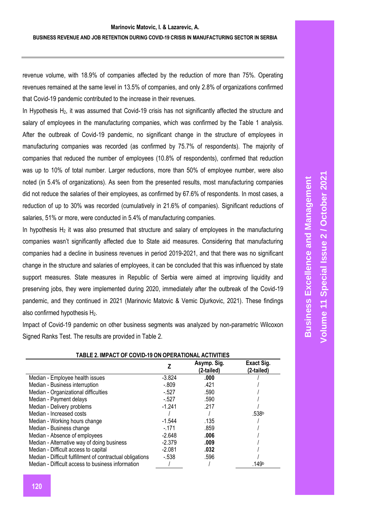## **BUSINESS REVENUE AND JOB RETENTION DURING COVID-19 CRISIS IN MANUFACTURING SECTOR IN SERBIA**

revenue volume, with 18.9% of companies affected by the reduction of more than 75%. Operating revenues remained at the same level in 13.5% of companies, and only 2.8% of organizations confirmed that Covid-19 pandemic contributed to the increase in their revenues.

In Hypothesis H<sub>2</sub>, it was assumed that Covid-19 crisis has not significantly affected the structure and salary of employees in the manufacturing companies, which was confirmed by the Table 1 analysis. After the outbreak of Covid-19 pandemic, no significant change in the structure of employees in manufacturing companies was recorded (as confirmed by 75.7% of respondents). The majority of companies that reduced the number of employees (10.8% of respondents), confirmed that reduction was up to 10% of total number. Larger reductions, more than 50% of employee number, were also noted (in 5.4% of organizations). As seen from the presented results, most manufacturing companies did not reduce the salaries of their employees, as confirmed by 67.6% of respondents. In most cases, a reduction of up to 30% was recorded (cumulatively in 21.6% of companies). Significant reductions of salaries, 51% or more, were conducted in 5.4% of manufacturing companies.

In hypothesis  $H_2$  it was also presumed that structure and salary of employees in the manufacturing companies wasn't significantly affected due to State aid measures. Considering that manufacturing companies had a decline in business revenues in period 2019-2021, and that there was no significant change in the structure and salaries of employees, it can be concluded that this was influenced by state support measures. State measures in Republic of Serbia were aimed at improving liquidity and preserving jobs, they were implemented during 2020, immediately after the outbreak of the Covid-19 pandemic, and they continued in 2021 (Marinovic Matovic & Vemic Djurkovic, 2021). These findings also confirmed hypothesis H<sub>2</sub>.

Impact of Covid-19 pandemic on other business segments was analyzed by non-parametric Wilcoxon Signed Ranks Test. The results are provided in Table 2.

|                                                           |          | Asymp. Sig.<br>(2-tailed) | Exact Sig.<br>(2-tailed) |
|-----------------------------------------------------------|----------|---------------------------|--------------------------|
| Median - Employee health issues                           | $-3.824$ | .000                      |                          |
| Median - Business interruption                            | $-.809$  | .421                      |                          |
| Median - Organizational difficulties                      | $-.527$  | .590                      |                          |
| Median - Payment delays                                   | $-527$   | .590                      |                          |
| Median - Delivery problems                                | $-1.241$ | .217                      |                          |
| Median - Increased costs                                  |          |                           | .538b                    |
| Median - Working hours change                             | $-1.544$ | .135                      |                          |
| Median - Business change                                  | $-.171$  | .859                      |                          |
| Median - Absence of employees                             | $-2.648$ | .006                      |                          |
| Median - Alternative way of doing business                | $-2.379$ | .009                      |                          |
| Median - Difficult access to capital                      | $-2.081$ | .032                      |                          |
| Median - Difficult fulfillment of contractual obligations | $-.538$  | .596                      |                          |
| Median - Difficult access to business information         |          |                           | .149b                    |

# **TABLE 2. IMPACT OF COVID-19 ON OPERATIONAL ACTIVITIES**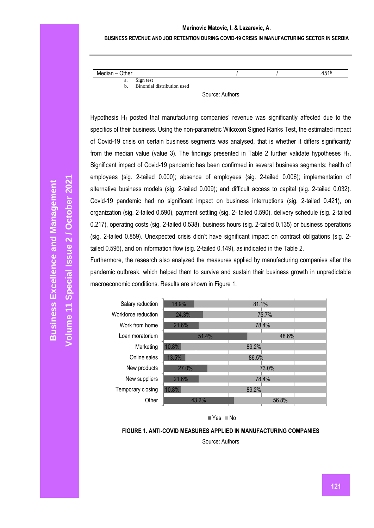#### **BUSINESS REVENUE AND JOB RETENTION DURING COVID-19 CRISIS IN MANUFACTURING SECTOR IN SERBIA**

| Median $-$<br>Other |                            |  | 451 <sup>t</sup> |
|---------------------|----------------------------|--|------------------|
| a.                  | Sign test                  |  |                  |
| b.                  | Binomial distribution used |  |                  |

Source: Authors

Hypothesis  $H_1$  posted that manufacturing companies' revenue was significantly affected due to the specifics of their business. Using the non-parametric Wilcoxon Signed Ranks Test, the estimated impact of Covid-19 crisis on certain business segments was analysed, that is whether it differs significantly from the median value (value 3). The findings presented in Table 2 further validate hypotheses  $H_1$ . Significant impact of Covid-19 pandemic has been confirmed in several business segments: health of employees (sig. 2-tailed 0.000); absence of employees (sig. 2-tailed 0.006); implementation of alternative business models (sig. 2-tailed 0.009); and difficult access to capital (sig. 2-tailed 0.032). Covid-19 pandemic had no significant impact on business interruptions (sig. 2-tailed 0.421), on organization (sig. 2-tailed 0.590), payment settling (sig. 2- tailed 0.590), delivery schedule (sig. 2-tailed 0.217), operating costs (sig. 2-tailed 0.538), business hours (sig. 2-tailed 0.135) or business operations (sig. 2-tailed 0.859). Unexpected crisis didn't have significant impact on contract obligations (sig. 2 tailed 0.596), and on information flow (sig. 2-tailed 0.149), as indicated in the Table 2.

Furthermore, the research also analyzed the measures applied by manufacturing companies after the pandemic outbreak, which helped them to survive and sustain their business growth in unpredictable macroeconomic conditions. Results are shown in Figure 1.



 $Yes$  No

**FIGURE 1. ANTI-COVID MEASURES APPLIED IN MANUFACTURING COMPANIES**

Source: Authors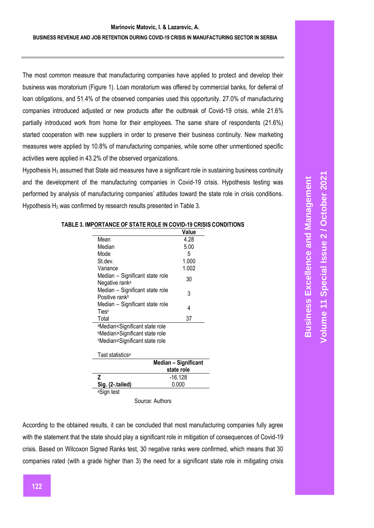#### **BUSINESS REVENUE AND JOB RETENTION DURING COVID-19 CRISIS IN MANUFACTURING SECTOR IN SERBIA**

The most common measure that manufacturing companies have applied to protect and develop their business was moratorium (Figure 1). Loan moratorium was offered by commercial banks, for deferral of loan obligations, and 51.4% of the observed companies used this opportunity. 27.0% of manufacturing companies introduced adjusted or new products after the outbreak of Covid-19 crisis, while 21.6% partially introduced work from home for their employees. The same share of respondents (21.6%) started cooperation with new suppliers in order to preserve their business continuity. New marketing measures were applied by 10.8% of manufacturing companies, while some other unmentioned specific activities were applied in 43.2% of the observed organizations.

Hypothesis  $H_3$  assumed that State aid measures have a significant role in sustaining business continuity and the development of the manufacturing companies in Covid-19 crisis. Hypothesis testing was performed by analysis of manufacturing companies' attitudes toward the state role in crisis conditions. Hypothesis  $H_3$  was confirmed by research results presented in Table 3.

|                                                                                  | Value                |
|----------------------------------------------------------------------------------|----------------------|
| Mean                                                                             | 4.28                 |
| Median                                                                           | 5.00                 |
| Mode                                                                             | 5                    |
| St.dev.                                                                          | 1.000                |
| Variance                                                                         | 1.002                |
| Median - Significant state role<br>Negative rank <sup>a</sup>                    | 30                   |
| Median - Significant state role<br>Positive rank <sup>b</sup>                    | 3                    |
| Median - Significant state role<br>Ties <sup>c</sup>                             | 4                    |
| Total                                                                            | 37                   |
| <sup>a</sup> Median <significant role<="" state="" td=""><td></td></significant> |                      |
| <b>bMedian&gt;Significant state role</b>                                         |                      |
| <sup>c</sup> Median=Significant state role                                       |                      |
| Tast statistics <sup>a</sup>                                                     |                      |
|                                                                                  | Median - Significant |
|                                                                                  | state role           |

#### **TABLE 3. IMPORTANCE OF STATE ROLE IN COVID-19 CRISIS CONDITIONS**

Source: Authors

**Z** -16.128<br>**Sig. (2-.tailed)** 0.000

**Sig. (2-.tailed)** 0.000 <sup>а</sup>Sign test

According to the obtained results, it can be concluded that most manufacturing companies fully agree with the statement that the state should play a significant role in mitigation of consequences of Covid-19 crisis. Based on Wilcoxon Signed Ranks test, 30 negative ranks were confirmed, which means that 30 companies rated (with a grade higher than 3) the need for a significant state role in mitigating crisis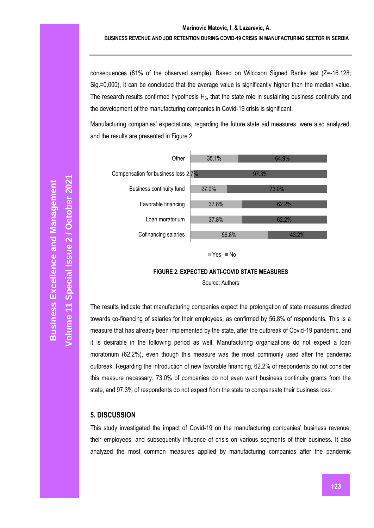## **BUSINESS REVENUE AND JOB RETENTION DURING COVID-19 CRISIS IN MANUFACTURING SECTOR IN SERBIA**

consequences (81% of the observed sample). Based on Wilcoxon Signed Ranks test (Z=-16.128; Sig.=0,000), it can be concluded that the average value is significantly higher than the median value. The research results confirmed hypothesis  $H_3$ , that the state role in sustaining business continuity and the development of the manufacturing companies in Covid-19 crisis is significant.

Manufacturing companies' expectations, regarding the future state aid measures, were also analyzed, and the results are presented in Figure 2.



 $\blacksquare$  Yes  $\blacksquare$  No

#### **FIGURE 2. EXPECTED ANTI-COVID STATE MEASURES**

Source: Authors

The results indicate that manufacturing companies expect the prolongation of state measures directed towards co-financing of salaries for their employees, as confirmed by 56.8% of respondents. This is a measure that has already been implemented by the state, after the outbreak of Covid-19 pandemic, and it is desirable in the following period as well. Manufacturing organizations do not expect a loan moratorium (62.2%), even though this measure was the most commonly used after the pandemic outbreak. Regarding the introduction of new favorable financing, 62.2% of respondents do not consider this measure necessary. 73.0% of companies do not even want business continuity grants from the state, and 97.3% of respondents do not expect from the state to compensate their business loss.

# **5. DISCUSSION**

This study investigated the impact of Covid-19 on the manufacturing companies' business revenue, their employees, and subsequently influence of crisis on various segments of their business. It also analyzed the most common measures applied by manufacturing companies after the pandemic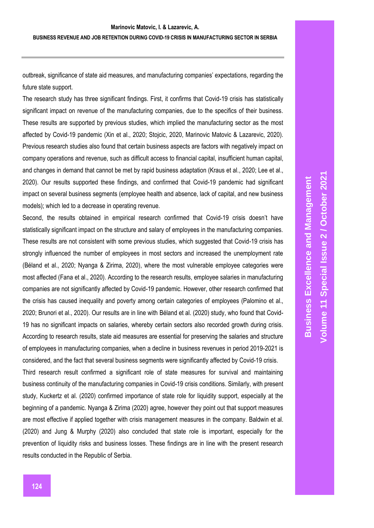outbreak, significance of state aid measures, and manufacturing companies' expectations, regarding the future state support.

The research study has three significant findings. First, it confirms that Covid-19 crisis has statistically significant impact on revenue of the manufacturing companies, due to the specifics of their business. These results are supported by previous studies, which implied the manufacturing sector as the most affected by Covid-19 pandemic (Xin et al., 2020; Stojcic, 2020, Marinovic Matovic & Lazarevic, 2020). Previous research studies also found that certain business aspects are factors with negatively impact on company operations and revenue, such as difficult access to financial capital, insufficient human capital, and changes in demand that cannot be met by rapid business adaptation (Kraus et al., 2020; Lee et al., 2020). Our results supported these findings, and confirmed that Covid-19 pandemic had significant impact on several business segments (employee health and absence, lack of capital, and new business models); which led to a decrease in operating revenue.

Second, the results obtained in empirical research confirmed that Covid-19 crisis doesn't have statistically significant impact on the structure and salary of employees in the manufacturing companies. These results are not consistent with some previous studies, which suggested that Covid-19 crisis has strongly influenced the number of employees in most sectors and increased the unemployment rate (Béland et al., 2020; Nyanga & Zirima, 2020), where the most vulnerable employee categories were most affected (Fana et al., 2020). According to the research results, employee salaries in manufacturing companies are not significantly affected by Covid-19 pandemic. However, other research confirmed that the crisis has caused inequality and poverty among certain categories of employees (Palomino et al., 2020; Brunori et al., 2020). Our results are in line with Béland et al. (2020) study, who found that Covid-19 has no significant impacts on salaries, whereby certain sectors also recorded growth during crisis. According to research results, state aid measures are essential for preserving the salaries and structure of employees in manufacturing companies, when a decline in business revenues in period 2019-2021 is considered, and the fact that several business segments were significantly affected by Covid-19 crisis.

Third research result confirmed a significant role of state measures for survival and maintaining business continuity of the manufacturing companies in Covid-19 crisis conditions. Similarly, with present study, Kuckertz et al. (2020) confirmed importance of state role for liquidity support, especially at the beginning of a pandemic. Nyanga & Zirima (2020) agree, however they point out that support measures are most effective if applied together with crisis management measures in the company. Baldwin et al. (2020) and Jung & Murphy (2020) also concluded that state role is important, especially for the prevention of liquidity risks and business losses. These findings are in line with the present research results conducted in the Republic of Serbia.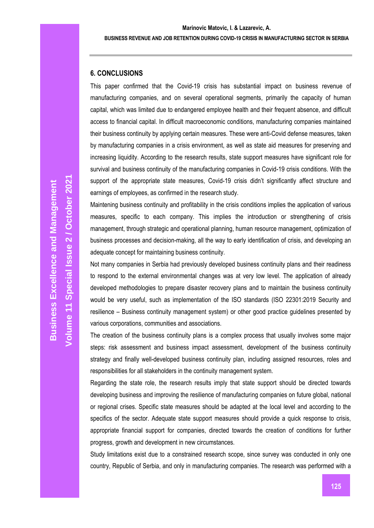# **6. CONCLUSIONS**

This paper confirmed that the Covid-19 crisis has substantial impact on business revenue of manufacturing companies, and on several operational segments, primarily the capacity of human capital, which was limited due to endangered employee health and their frequent absence, and difficult access to financial capital. In difficult macroeconomic conditions, manufacturing companies maintained their business continuity by applying certain measures. These were anti-Covid defense measures, taken by manufacturing companies in a crisis environment, as well as state aid measures for preserving and increasing liquidity. According to the research results, state support measures have significant role for survival and business continuity of the manufacturing companies in Covid-19 crisis conditions. With the support of the appropriate state measures, Covid-19 crisis didn't significantly affect structure and earnings of employees, as confirmed in the research study.

Maintening business continuity and profitability in the crisis conditions implies the application of various measures, specific to each company. This implies the introduction or strengthening of crisis management, through strategic and operational planning, human resource management, optimization of business processes and decision-making, all the way to early identification of crisis, and developing an adequate concept for maintaining business continuity.

Not many companies in Serbia had previously developed business continuity plans and their readiness to respond to the external environmental changes was at very low level. The application of already developed methodologies to prepare disaster recovery plans and to maintain the business continuity would be very useful, such as implementation of the ISO standards (ISO 22301:2019 Security and resilience – Business continuity management system) or other good practice guidelines presented by various corporations, communities and associations.

The creation of the business continuity plans is a complex process that usually involves some major steps: risk assessment and business impact assessment, development of the business continuity strategy and finally well-developed business continuity plan, including assigned resources, roles and responsibilities for all stakeholders in the continuity management system.

Regarding the state role, the research results imply that state support should be directed towards developing business and improving the resilience of manufacturing companies on future global, national or regional crises. Specific state measures should be adapted at the local level and according to the specifics of the sector. Adequate state support measures should provide a quick response to crisis, appropriate financial support for companies, directed towards the creation of conditions for further progress, growth and development in new circumstances.

Study limitations exist due to a constrained research scope, since survey was conducted in only one country, Republic of Serbia, and only in manufacturing companies. The research was performed with a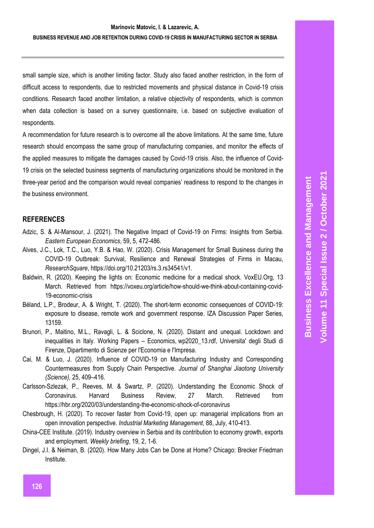small sample size, which is another limiting factor. Study also faced another restriction, in the form of difficult access to respondents, due to restricted movements and physical distance in Covid-19 crisis conditions. Research faced another limitation, a relative objectivity of respondents, which is common when data collection is based on a survey questionnaire, i.e. based on subjective evaluation of respondents.

A recommendation for future research is to overcome all the above limitations. At the same time, future research should encompass the same group of manufacturing companies, and monitor the effects of the applied measures to mitigate the damages caused by Covid-19 crisis. Also, the influence of Covid-19 crisis on the selected business segments of manufacturing organizations should be monitored in the three-year period and the comparison would reveal companies' readiness to respond to the changes in the business environment.

# **REFERENCES**

- Adzic, S. & Al-Mansour, J. (2021). The Negative Impact of Covid-19 on Firms: Insights from Serbia. *Eastern European Economics*, 59, 5, 472-486.
- Alves, J.C., Lok, T.C., Luo, Y.B. & Hao, W. (2020). Crisis Management for Small Business during the COVID-19 Outbreak: Survival, Resilience and Renewal Strategies of Firms in Macau, *ResearchSquare*, https://doi.org/10.21203/rs.3.rs34541/v1.
- Baldwin, R. (2020). Keeping the lights on: Economic medicine for a medical shock. VoxEU.Org, 13 March. Retrieved from https://voxeu.org/article/how-should-we-think-about-containing-covid-19-economic-crisis
- Béland, L.P., Brodeur, A. & Wright, T. (2020). The short-term economic consequences of COVID-19: exposure to disease, remote work and government response. IZA Discussion Paper Series, 13159.
- Brunori, P., Maitino, M.L., Ravagli, L. & Sciclone, N. (2020). Distant and unequal. Lockdown and inequalities in Italy. Working Papers – Economics, wp2020\_13.rdf, Universita' degli Studi di Firenze, Dipartimento di Scienze per l'Economia e l'Impresa.
- Cai, M. & Luo, J. (2020). Influence of COVID-19 on Manufacturing Industry and Corresponding Countermeasures from Supply Chain Perspective. *Journal of Shanghai Jiaotong University (Science),* 25, 409–416.
- Carlsson-Szlezak, P., Reeves, M. & Swartz, P. (2020). Understanding the Economic Shock of Coronavirus. Harvard Business Review, 27 March. Retrieved from https://hbr.org/2020/03/understanding-the-economic-shock-of-coronavirus
- Chesbrough, H. (2020). To recover faster from Covid-19, open up: managerial implications from an open innovation perspective. *Industrial Marketing Management*, 88, July, 410-413.
- China-CEE Institute. (2019). Industry overview in Serbia and its contribution to economy growth, exports and employment. *Weekly briefing*, 19, 2, 1-6.
- Dingel, J.I. & Neiman, B. (2020). How Many Jobs Can be Done at Home? Chicago: Brecker Friedman Institute.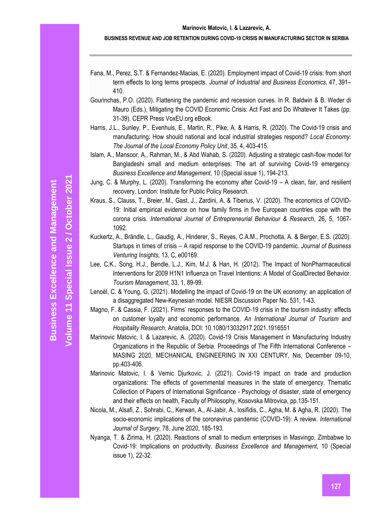- Fana, M., Perez, S.T. & Fernandez-Macias, E. (2020). Employment impact of Covid-19 crisis: from short term effects to long terms prospects. *Journal of Industrial and Business Economics,* 47, 391– 410.
- Gourinchas, P.O. (2020). Flattening the pandemic and recession curves. In R. Baldwin & B. Weder di Mauro (Eds.), Mitigating the COVID Economic Crisis: Act Fast and Do Whatever It Takes (pp. 31-39). CEPR Press VoxEU.org eBook.
- Harris, J.L., Sunley, P., Evenhuis, E., Martin, R., Pike, A. & Harris, R. (2020). The Covid-19 crisis and manufacturing: How should national and local industrial strategies respond? *Local Economy: The Journal of the Local Economy Policy Unit*, 35, 4, 403-415.
- Islam, A., Mansoor, A., Rahman, M., & Abd Wahab, S. (2020). Adjusting a strategic cash-flow model for Bangladeshi small and medium enterprises: The art of surviving Covid-19 emergency. *Business Excellence and Management*, 10 (Special issue 1), 194-213.
- Jung, C. & Murphy, L. (2020). Transforming the economy after Covid-19 A clean, fair, and resilient recovery. London: Institute for Public Policy Research.
- Kraus, S., Clauss, T., Breier, M., Gast, J., Zardini, A. & Tiberius, V. (2020). The economics of COVID-19: Initial empirical evidence on how family firms in five European countries cope with the corona crisis. *International Journal of Entrepreneurial Behaviour & Research*, 26, 5, 1067- 1092.
- Kuckertz, A., Brändle, L., Gaudig, A., Hinderer, S., Reyes, C.A.M., Prochotta, A. & Berger, E.S. (2020). Startups in times of crisis – A rapid response to the COVID-19 pandemic. *Journal of Business Venturing Insights*, 13, C, e00169.
- Lee, C.K., Song, H.J., Bendle, L.J., Kim, M.J. & Han, H. (2012). The Impact of NonPharmaceutical Interventions for 2009 H1N1 Influenza on Travel Intentions: A Model of GoalDirected Behavior. *Tourism Management*, 33, 1, 89-99.
- Lenoël, C. & Young, G. (2021). Modelling the impact of Covid-19 on the UK economy: an application of a disaggregated New-Keynesian model. NIESR Discussion Paper No. 531, 1-43.
- Magno, F. & Cassia, F. (2021). Firms' responses to the COVID-19 crisis in the tourism industry: effects on customer loyalty and economic performance. *An International Journal of Tourism and Hospitality Research*, Anatolia, DOI: 10.1080/13032917.2021.1916551
- Marinovic Matovic, I. & Lazarevic, A. (2020). Covid-19 Crisis Management in Manufacturing Industry Organizations in the Republic of Serbia. Proceedings of The Fifth International Conference – MASING 2020, MECHANICAL ENGINEERING IN XXI CENTURY, Nis, December 09-10, pp.403-406.
- Marinovic Matovic, I. & Vemic Djurkovic, J. (2021). Covid-19 impact on trade and production organizations: The effects of governmental measures in the state of emergency. Thematic Collection of Papers of International Significance - Psychology of disaster, state of emergency and their effects on health, Faculty of Philosophy, Kosovska Mitrovica, pp.135-151.
- Nicola, M., Alsafi, Z., Sohrabi, C., Kerwan, A., Al-Jabir, A., Iosifidis, C., Agha, M. & Agha, R. (2020). The socio-economic implications of the coronavirus pandemic (COVID-19): A review. *International Journal of Surgery*, 78, June 2020, 185-193.
- Nyanga, T. & Zirima, H. (2020). Reactions of small to medium enterprises in Masvingo, Zimbabwe to Covid-19: Implications on productivity. *Business Excellence and Management*, 10 (Special issue 1), 22-32.